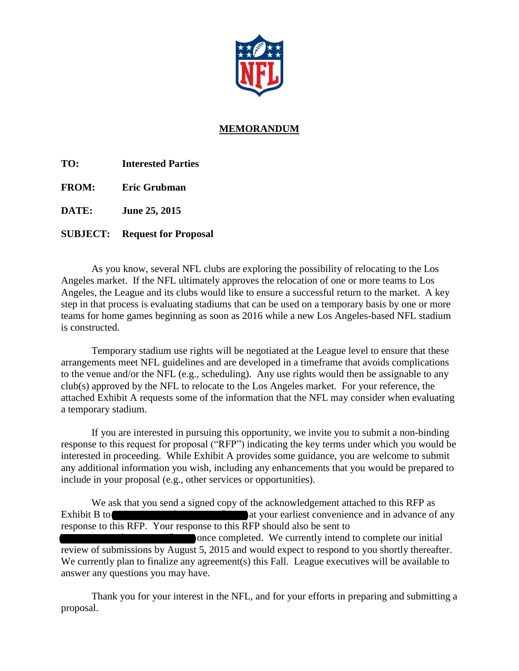

## **MEMORANDUM**

**TO: Interested Parties**

**FROM: Eric Grubman**

**DATE: June 25, 2015**

### **SUBJECT: Request for Proposal**

As you know, several NFL clubs are exploring the possibility of relocating to the Los Angeles market. If the NFL ultimately approves the relocation of one or more teams to Los Angeles, the League and its clubs would like to ensure a successful return to the market. A key step in that process is evaluating stadiums that can be used on a temporary basis by one or more teams for home games beginning as soon as 2016 while a new Los Angeles-based NFL stadium is constructed.

Temporary stadium use rights will be negotiated at the League level to ensure that these arrangements meet NFL guidelines and are developed in a timeframe that avoids complications to the venue and/or the NFL (e.g., scheduling). Any use rights would then be assignable to any club(s) approved by the NFL to relocate to the Los Angeles market. For your reference, the attached Exhibit A requests some of the information that the NFL may consider when evaluating a temporary stadium.

If you are interested in pursuing this opportunity, we invite you to submit a non-binding response to this request for proposal ("RFP") indicating the key terms under which you would be interested in proceeding. While Exhibit A provides some guidance, you are welcome to submit any additional information you wish, including any enhancements that you would be prepared to include in your proposal (e.g., other services or opportunities).

We ask that you send a signed copy of the acknowledgement attached to this RFP as Exhibit B to Temporary States and in advance of any state of any at your earliest convenience and in advance of any response to this RFP. Your response to this RFP should also be sent to The completed. We currently intend to complete our initial review of submissions by August 5, 2015 and would expect to respond to you shortly thereafter. We currently plan to finalize any agreement(s) this Fall. League executives will be available to

answer any questions you may have.

Thank you for your interest in the NFL, and for your efforts in preparing and submitting a proposal.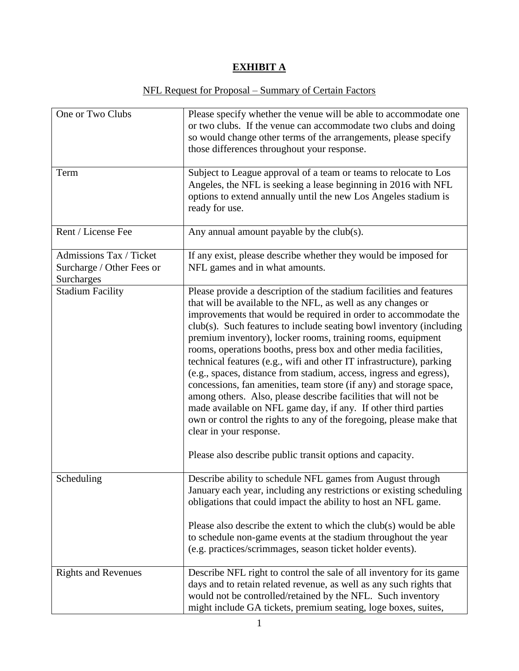# **EXHIBIT A**

# NFL Request for Proposal – Summary of Certain Factors

| One or Two Clubs                                                   | Please specify whether the venue will be able to accommodate one<br>or two clubs. If the venue can accommodate two clubs and doing<br>so would change other terms of the arrangements, please specify<br>those differences throughout your response.                                                                                                                                                                                                                                                                                                                                                                                                                                                                                                                                                                                                                                                                                    |
|--------------------------------------------------------------------|-----------------------------------------------------------------------------------------------------------------------------------------------------------------------------------------------------------------------------------------------------------------------------------------------------------------------------------------------------------------------------------------------------------------------------------------------------------------------------------------------------------------------------------------------------------------------------------------------------------------------------------------------------------------------------------------------------------------------------------------------------------------------------------------------------------------------------------------------------------------------------------------------------------------------------------------|
| Term                                                               | Subject to League approval of a team or teams to relocate to Los<br>Angeles, the NFL is seeking a lease beginning in 2016 with NFL<br>options to extend annually until the new Los Angeles stadium is<br>ready for use.                                                                                                                                                                                                                                                                                                                                                                                                                                                                                                                                                                                                                                                                                                                 |
| Rent / License Fee                                                 | Any annual amount payable by the club(s).                                                                                                                                                                                                                                                                                                                                                                                                                                                                                                                                                                                                                                                                                                                                                                                                                                                                                               |
| Admissions Tax / Ticket<br>Surcharge / Other Fees or<br>Surcharges | If any exist, please describe whether they would be imposed for<br>NFL games and in what amounts.                                                                                                                                                                                                                                                                                                                                                                                                                                                                                                                                                                                                                                                                                                                                                                                                                                       |
| <b>Stadium Facility</b>                                            | Please provide a description of the stadium facilities and features<br>that will be available to the NFL, as well as any changes or<br>improvements that would be required in order to accommodate the<br>club(s). Such features to include seating bowl inventory (including<br>premium inventory), locker rooms, training rooms, equipment<br>rooms, operations booths, press box and other media facilities,<br>technical features (e.g., wifi and other IT infrastructure), parking<br>(e.g., spaces, distance from stadium, access, ingress and egress),<br>concessions, fan amenities, team store (if any) and storage space,<br>among others. Also, please describe facilities that will not be<br>made available on NFL game day, if any. If other third parties<br>own or control the rights to any of the foregoing, please make that<br>clear in your response.<br>Please also describe public transit options and capacity. |
| Scheduling                                                         | Describe ability to schedule NFL games from August through<br>January each year, including any restrictions or existing scheduling<br>obligations that could impact the ability to host an NFL game.<br>Please also describe the extent to which the club(s) would be able                                                                                                                                                                                                                                                                                                                                                                                                                                                                                                                                                                                                                                                              |
|                                                                    | to schedule non-game events at the stadium throughout the year<br>(e.g. practices/scrimmages, season ticket holder events).                                                                                                                                                                                                                                                                                                                                                                                                                                                                                                                                                                                                                                                                                                                                                                                                             |
| <b>Rights and Revenues</b>                                         | Describe NFL right to control the sale of all inventory for its game<br>days and to retain related revenue, as well as any such rights that<br>would not be controlled/retained by the NFL. Such inventory<br>might include GA tickets, premium seating, loge boxes, suites,                                                                                                                                                                                                                                                                                                                                                                                                                                                                                                                                                                                                                                                            |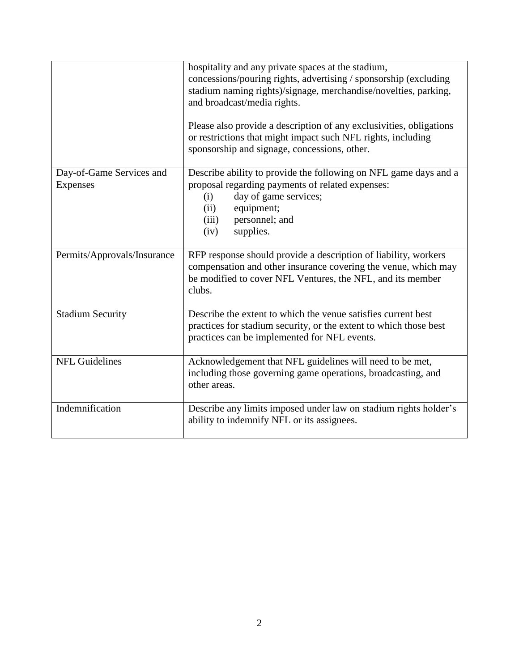|                                             | hospitality and any private spaces at the stadium,<br>concessions/pouring rights, advertising / sponsorship (excluding<br>stadium naming rights)/signage, merchandise/novelties, parking,<br>and broadcast/media rights.<br>Please also provide a description of any exclusivities, obligations<br>or restrictions that might impact such NFL rights, including<br>sponsorship and signage, concessions, other. |
|---------------------------------------------|-----------------------------------------------------------------------------------------------------------------------------------------------------------------------------------------------------------------------------------------------------------------------------------------------------------------------------------------------------------------------------------------------------------------|
| Day-of-Game Services and<br><b>Expenses</b> | Describe ability to provide the following on NFL game days and a<br>proposal regarding payments of related expenses:<br>day of game services;<br>(i)<br>equipment;<br>(ii)<br>personnel; and<br>(iii)<br>supplies.<br>(iv)                                                                                                                                                                                      |
| Permits/Approvals/Insurance                 | RFP response should provide a description of liability, workers<br>compensation and other insurance covering the venue, which may<br>be modified to cover NFL Ventures, the NFL, and its member<br>clubs.                                                                                                                                                                                                       |
| <b>Stadium Security</b>                     | Describe the extent to which the venue satisfies current best<br>practices for stadium security, or the extent to which those best<br>practices can be implemented for NFL events.                                                                                                                                                                                                                              |
| <b>NFL Guidelines</b>                       | Acknowledgement that NFL guidelines will need to be met,<br>including those governing game operations, broadcasting, and<br>other areas.                                                                                                                                                                                                                                                                        |
| Indemnification                             | Describe any limits imposed under law on stadium rights holder's<br>ability to indemnify NFL or its assignees.                                                                                                                                                                                                                                                                                                  |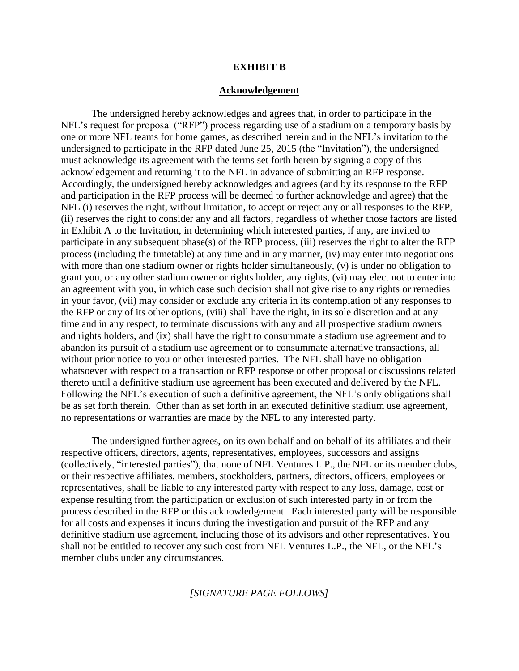#### **EXHIBIT B**

#### **Acknowledgement**

The undersigned hereby acknowledges and agrees that, in order to participate in the NFL's request for proposal ("RFP") process regarding use of a stadium on a temporary basis by one or more NFL teams for home games, as described herein and in the NFL's invitation to the undersigned to participate in the RFP dated June 25, 2015 (the "Invitation"), the undersigned must acknowledge its agreement with the terms set forth herein by signing a copy of this acknowledgement and returning it to the NFL in advance of submitting an RFP response. Accordingly, the undersigned hereby acknowledges and agrees (and by its response to the RFP and participation in the RFP process will be deemed to further acknowledge and agree) that the NFL (i) reserves the right, without limitation, to accept or reject any or all responses to the RFP, (ii) reserves the right to consider any and all factors, regardless of whether those factors are listed in Exhibit A to the Invitation, in determining which interested parties, if any, are invited to participate in any subsequent phase(s) of the RFP process, (iii) reserves the right to alter the RFP process (including the timetable) at any time and in any manner, (iv) may enter into negotiations with more than one stadium owner or rights holder simultaneously, (v) is under no obligation to grant you, or any other stadium owner or rights holder, any rights, (vi) may elect not to enter into an agreement with you, in which case such decision shall not give rise to any rights or remedies in your favor, (vii) may consider or exclude any criteria in its contemplation of any responses to the RFP or any of its other options, (viii) shall have the right, in its sole discretion and at any time and in any respect, to terminate discussions with any and all prospective stadium owners and rights holders, and (ix) shall have the right to consummate a stadium use agreement and to abandon its pursuit of a stadium use agreement or to consummate alternative transactions, all without prior notice to you or other interested parties. The NFL shall have no obligation whatsoever with respect to a transaction or RFP response or other proposal or discussions related thereto until a definitive stadium use agreement has been executed and delivered by the NFL. Following the NFL's execution of such a definitive agreement, the NFL's only obligations shall be as set forth therein. Other than as set forth in an executed definitive stadium use agreement, no representations or warranties are made by the NFL to any interested party.

The undersigned further agrees, on its own behalf and on behalf of its affiliates and their respective officers, directors, agents, representatives, employees, successors and assigns (collectively, "interested parties"), that none of NFL Ventures L.P., the NFL or its member clubs, or their respective affiliates, members, stockholders, partners, directors, officers, employees or representatives, shall be liable to any interested party with respect to any loss, damage, cost or expense resulting from the participation or exclusion of such interested party in or from the process described in the RFP or this acknowledgement. Each interested party will be responsible for all costs and expenses it incurs during the investigation and pursuit of the RFP and any definitive stadium use agreement, including those of its advisors and other representatives. You shall not be entitled to recover any such cost from NFL Ventures L.P., the NFL, or the NFL's member clubs under any circumstances.

### *[SIGNATURE PAGE FOLLOWS]*